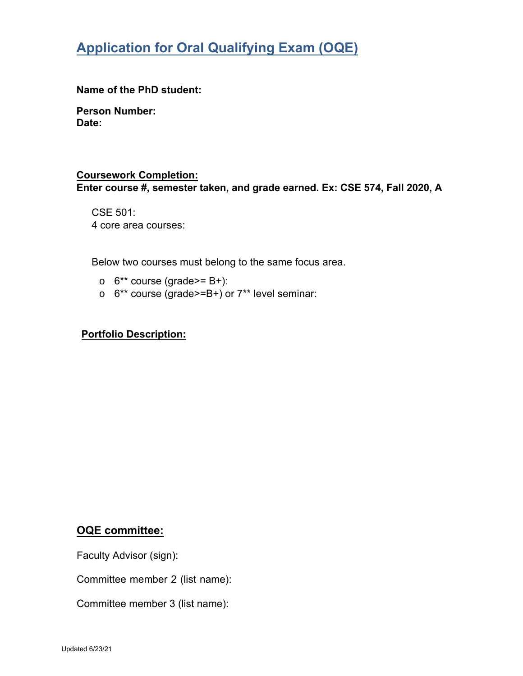# **Application for Oral Qualifying Exam (OQE)**

**Name of the PhD student:** 

**Person Number: Date:** 

#### **Coursework Completion:**

**Enter course #, semester taken, and grade earned. Ex: CSE 574, Fall 2020, A** 

CSE 501: 4 core area courses:

Below two courses must belong to the same focus area.

- $\circ$  6<sup>\*\*</sup> course (grade>= B+):
- $\circ$  6<sup>\*\*</sup> course (grade>=B+) or 7<sup>\*\*</sup> level seminar:

#### **Portfolio Description:**

### **OQE committee:**

Faculty Advisor (sign):

Committee member 2 (list name):

Committee member 3 (list name):